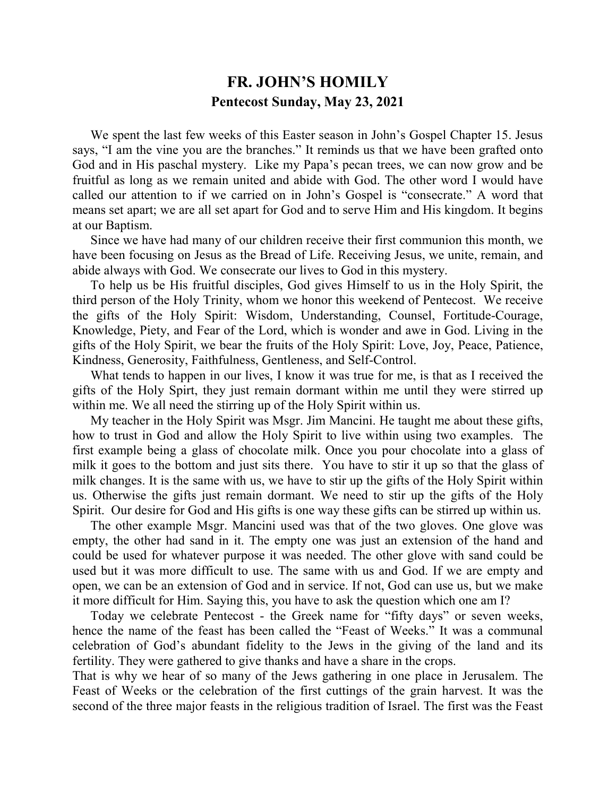## **FR. JOHN'S HOMILY Pentecost Sunday, May 23, 2021**

 We spent the last few weeks of this Easter season in John's Gospel Chapter 15. Jesus says, "I am the vine you are the branches." It reminds us that we have been grafted onto God and in His paschal mystery. Like my Papa's pecan trees, we can now grow and be fruitful as long as we remain united and abide with God. The other word I would have called our attention to if we carried on in John's Gospel is "consecrate." A word that means set apart; we are all set apart for God and to serve Him and His kingdom. It begins at our Baptism.

 Since we have had many of our children receive their first communion this month, we have been focusing on Jesus as the Bread of Life. Receiving Jesus, we unite, remain, and abide always with God. We consecrate our lives to God in this mystery.

 To help us be His fruitful disciples, God gives Himself to us in the Holy Spirit, the third person of the Holy Trinity, whom we honor this weekend of Pentecost. We receive the gifts of the Holy Spirit: Wisdom, Understanding, Counsel, Fortitude-Courage, Knowledge, Piety, and Fear of the Lord, which is wonder and awe in God. Living in the gifts of the Holy Spirit, we bear the fruits of the Holy Spirit: Love, Joy, Peace, Patience, Kindness, Generosity, Faithfulness, Gentleness, and Self-Control.

What tends to happen in our lives, I know it was true for me, is that as I received the gifts of the Holy Spirt, they just remain dormant within me until they were stirred up within me. We all need the stirring up of the Holy Spirit within us.

 My teacher in the Holy Spirit was Msgr. Jim Mancini. He taught me about these gifts, how to trust in God and allow the Holy Spirit to live within using two examples. The first example being a glass of chocolate milk. Once you pour chocolate into a glass of milk it goes to the bottom and just sits there. You have to stir it up so that the glass of milk changes. It is the same with us, we have to stir up the gifts of the Holy Spirit within us. Otherwise the gifts just remain dormant. We need to stir up the gifts of the Holy Spirit. Our desire for God and His gifts is one way these gifts can be stirred up within us.

 The other example Msgr. Mancini used was that of the two gloves. One glove was empty, the other had sand in it. The empty one was just an extension of the hand and could be used for whatever purpose it was needed. The other glove with sand could be used but it was more difficult to use. The same with us and God. If we are empty and open, we can be an extension of God and in service. If not, God can use us, but we make it more difficult for Him. Saying this, you have to ask the question which one am I?

 Today we celebrate Pentecost - the Greek name for "fifty days" or seven weeks, hence the name of the feast has been called the "Feast of Weeks." It was a communal celebration of God's abundant fidelity to the Jews in the giving of the land and its fertility. They were gathered to give thanks and have a share in the crops.

That is why we hear of so many of the Jews gathering in one place in Jerusalem. The Feast of Weeks or the celebration of the first cuttings of the grain harvest. It was the second of the three major feasts in the religious tradition of Israel. The first was the Feast